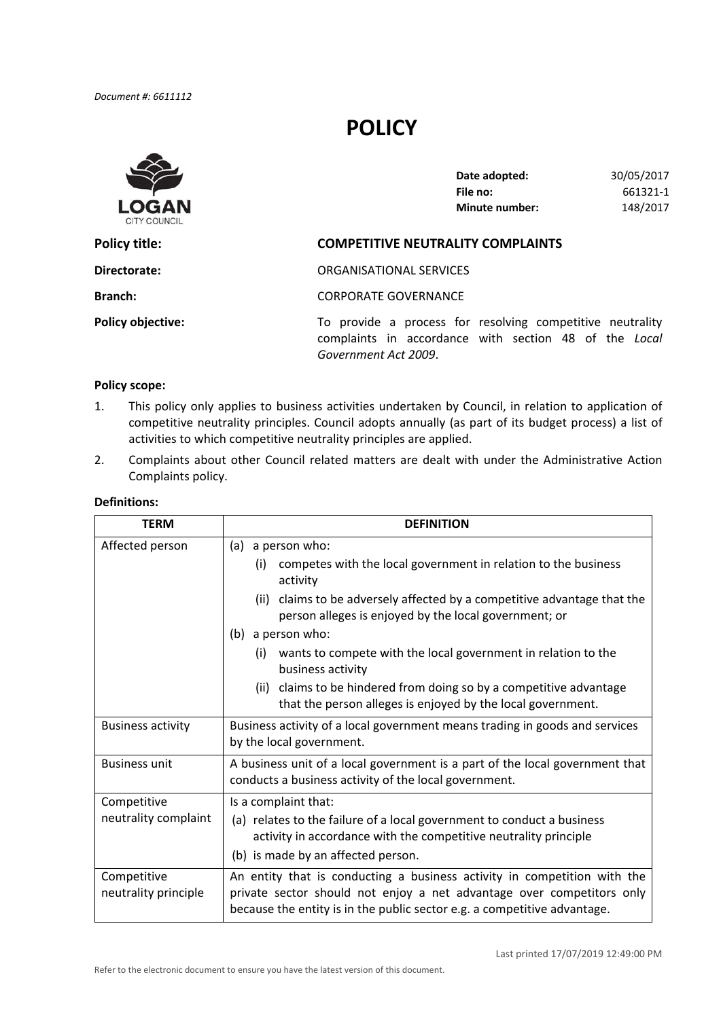# **POLICY**



| Date adopted:         | 30/05/2017 |
|-----------------------|------------|
| File no:              | 661321-1   |
| <b>Minute number:</b> | 148/2017   |

# **Directorate:** ORGANISATIONAL SERVICES **Policy objective:** To provide a process for resolving competitive neutrality complaints in accordance with section 48 of the *Local Government Act 2009*. **Policy title: COMPETITIVE NEUTRALITY COMPLAINTS Branch:** CORPORATE GOVERNANCE

#### **Policy scope:**

- 1. This policy only applies to business activities undertaken by Council, in relation to application of competitive neutrality principles. Council adopts annually (as part of its budget process) a list of activities to which competitive neutrality principles are applied.
- 2. Complaints about other Council related matters are dealt with under the Administrative Action Complaints policy.

| <b>TERM</b>                         | <b>DEFINITION</b>                                                                                                                                                                                                             |  |
|-------------------------------------|-------------------------------------------------------------------------------------------------------------------------------------------------------------------------------------------------------------------------------|--|
| Affected person                     | (a) a person who:                                                                                                                                                                                                             |  |
|                                     | competes with the local government in relation to the business<br>(i)<br>activity                                                                                                                                             |  |
|                                     | claims to be adversely affected by a competitive advantage that the<br>(ii)<br>person alleges is enjoyed by the local government; or                                                                                          |  |
|                                     | (b) a person who:                                                                                                                                                                                                             |  |
|                                     | wants to compete with the local government in relation to the<br>(i)<br>business activity                                                                                                                                     |  |
|                                     | (ii) claims to be hindered from doing so by a competitive advantage<br>that the person alleges is enjoyed by the local government.                                                                                            |  |
| <b>Business activity</b>            | Business activity of a local government means trading in goods and services<br>by the local government.                                                                                                                       |  |
| <b>Business unit</b>                | A business unit of a local government is a part of the local government that<br>conducts a business activity of the local government.                                                                                         |  |
| Competitive                         | Is a complaint that:                                                                                                                                                                                                          |  |
| neutrality complaint                | (a) relates to the failure of a local government to conduct a business<br>activity in accordance with the competitive neutrality principle                                                                                    |  |
|                                     | (b) is made by an affected person.                                                                                                                                                                                            |  |
| Competitive<br>neutrality principle | An entity that is conducting a business activity in competition with the<br>private sector should not enjoy a net advantage over competitors only<br>because the entity is in the public sector e.g. a competitive advantage. |  |

## **Definitions:**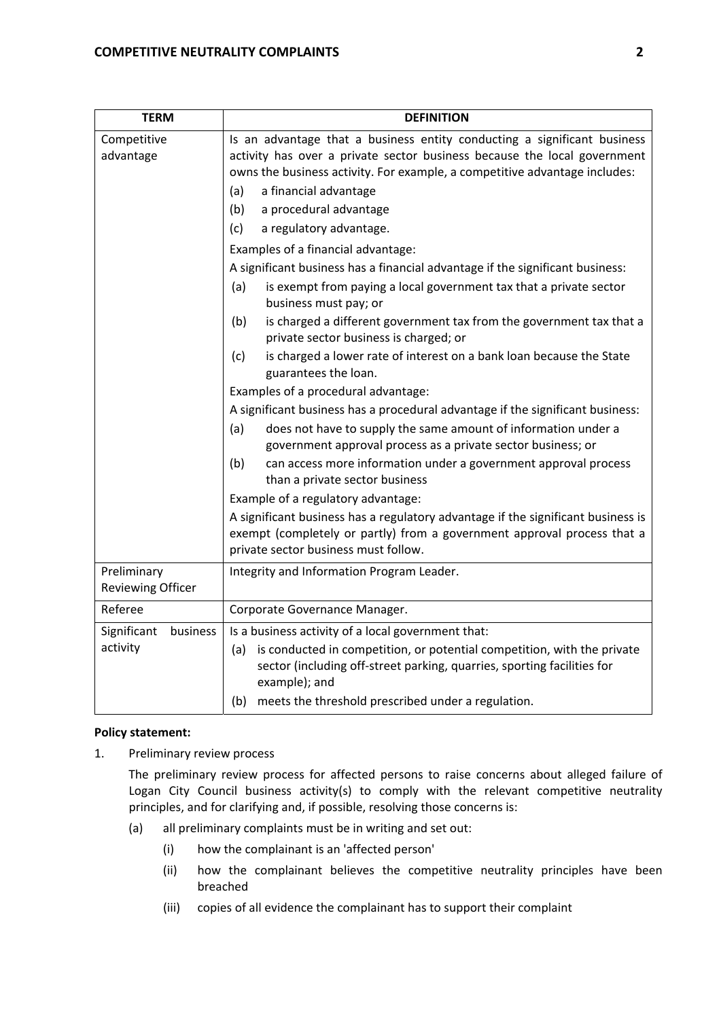| <b>TERM</b>                             | <b>DEFINITION</b>                                                                                                                                                                                                                  |  |  |
|-----------------------------------------|------------------------------------------------------------------------------------------------------------------------------------------------------------------------------------------------------------------------------------|--|--|
| Competitive<br>advantage                | Is an advantage that a business entity conducting a significant business<br>activity has over a private sector business because the local government<br>owns the business activity. For example, a competitive advantage includes: |  |  |
|                                         | a financial advantage<br>(a)                                                                                                                                                                                                       |  |  |
|                                         | (b)<br>a procedural advantage                                                                                                                                                                                                      |  |  |
|                                         | (c)<br>a regulatory advantage.                                                                                                                                                                                                     |  |  |
|                                         | Examples of a financial advantage:                                                                                                                                                                                                 |  |  |
|                                         | A significant business has a financial advantage if the significant business:                                                                                                                                                      |  |  |
|                                         | (a)<br>is exempt from paying a local government tax that a private sector<br>business must pay; or                                                                                                                                 |  |  |
|                                         | (b)<br>is charged a different government tax from the government tax that a<br>private sector business is charged; or                                                                                                              |  |  |
|                                         | is charged a lower rate of interest on a bank loan because the State<br>(c)<br>guarantees the loan.                                                                                                                                |  |  |
|                                         | Examples of a procedural advantage:                                                                                                                                                                                                |  |  |
|                                         | A significant business has a procedural advantage if the significant business:                                                                                                                                                     |  |  |
|                                         | (a)<br>does not have to supply the same amount of information under a<br>government approval process as a private sector business; or                                                                                              |  |  |
|                                         | (b)<br>can access more information under a government approval process<br>than a private sector business                                                                                                                           |  |  |
|                                         | Example of a regulatory advantage:                                                                                                                                                                                                 |  |  |
|                                         | A significant business has a regulatory advantage if the significant business is<br>exempt (completely or partly) from a government approval process that a<br>private sector business must follow.                                |  |  |
| Preliminary<br><b>Reviewing Officer</b> | Integrity and Information Program Leader.                                                                                                                                                                                          |  |  |
| Referee                                 | Corporate Governance Manager.                                                                                                                                                                                                      |  |  |
| Significant<br>business<br>activity     | Is a business activity of a local government that:                                                                                                                                                                                 |  |  |
|                                         | is conducted in competition, or potential competition, with the private<br>(a)<br>sector (including off-street parking, quarries, sporting facilities for<br>example); and                                                         |  |  |
|                                         | meets the threshold prescribed under a regulation.<br>(b)                                                                                                                                                                          |  |  |

## **Policy statement:**

1. Preliminary review process

 The preliminary review process for affected persons to raise concerns about alleged failure of Logan City Council business activity(s) to comply with the relevant competitive neutrality principles, and for clarifying and, if possible, resolving those concerns is:

- (a) all preliminary complaints must be in writing and set out:
	- (i) how the complainant is an 'affected person'
	- (ii) how the complainant believes the competitive neutrality principles have been breached
	- (iii) copies of all evidence the complainant has to support their complaint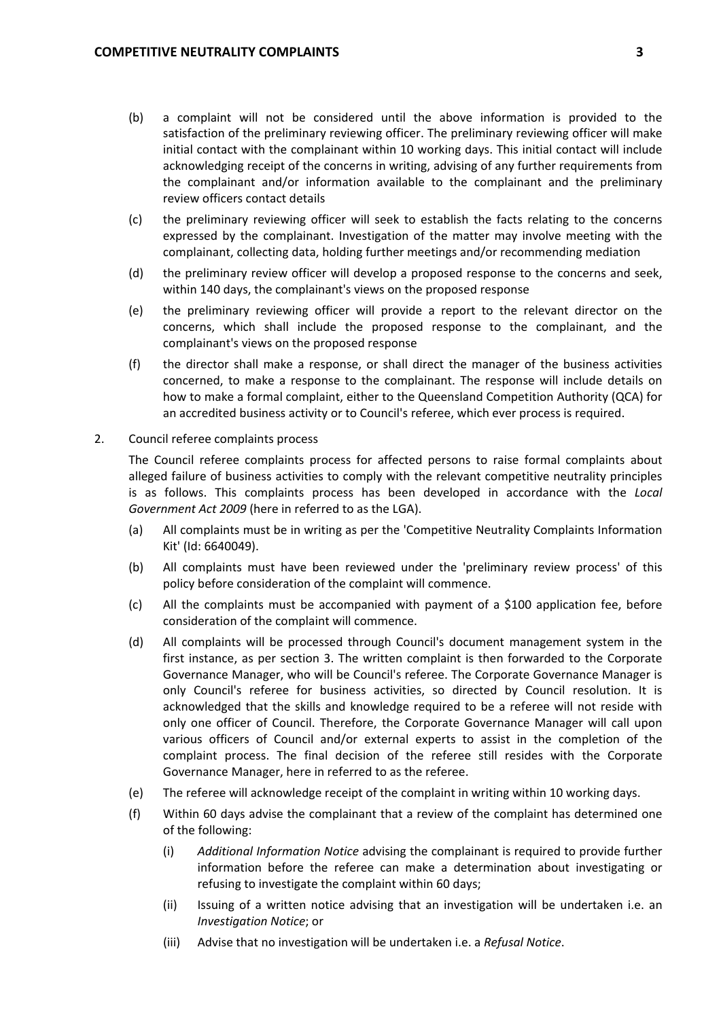- (b) a complaint will not be considered until the above information is provided to the satisfaction of the preliminary reviewing officer. The preliminary reviewing officer will make initial contact with the complainant within 10 working days. This initial contact will include acknowledging receipt of the concerns in writing, advising of any further requirements from the complainant and/or information available to the complainant and the preliminary review officers contact details
- (c) the preliminary reviewing officer will seek to establish the facts relating to the concerns expressed by the complainant. Investigation of the matter may involve meeting with the complainant, collecting data, holding further meetings and/or recommending mediation
- (d) the preliminary review officer will develop a proposed response to the concerns and seek, within 140 days, the complainant's views on the proposed response
- (e) the preliminary reviewing officer will provide a report to the relevant director on the concerns, which shall include the proposed response to the complainant, and the complainant's views on the proposed response
- (f) the director shall make a response, or shall direct the manager of the business activities concerned, to make a response to the complainant. The response will include details on how to make a formal complaint, either to the Queensland Competition Authority (QCA) for an accredited business activity or to Council's referee, which ever process is required.
- 2. Council referee complaints process

 The Council referee complaints process for affected persons to raise formal complaints about alleged failure of business activities to comply with the relevant competitive neutrality principles is as follows. This complaints process has been developed in accordance with the *Local Government Act 2009* (here in referred to as the LGA).

- (a) All complaints must be in writing as per the 'Competitive Neutrality Complaints Information Kit' (Id: 6640049).
- (b) All complaints must have been reviewed under the 'preliminary review process' of this policy before consideration of the complaint will commence.
- (c) All the complaints must be accompanied with payment of a \$100 application fee, before consideration of the complaint will commence.
- (d) All complaints will be processed through Council's document management system in the first instance, as per section 3. The written complaint is then forwarded to the Corporate Governance Manager, who will be Council's referee. The Corporate Governance Manager is only Council's referee for business activities, so directed by Council resolution. It is acknowledged that the skills and knowledge required to be a referee will not reside with only one officer of Council. Therefore, the Corporate Governance Manager will call upon various officers of Council and/or external experts to assist in the completion of the complaint process. The final decision of the referee still resides with the Corporate Governance Manager, here in referred to as the referee.
- (e) The referee will acknowledge receipt of the complaint in writing within 10 working days.
- (f) Within 60 days advise the complainant that a review of the complaint has determined one of the following:
	- (i) *Additional Information Notice* advising the complainant is required to provide further information before the referee can make a determination about investigating or refusing to investigate the complaint within 60 days;
	- (ii) Issuing of a written notice advising that an investigation will be undertaken i.e. an *Investigation Notice*; or
	- (iii) Advise that no investigation will be undertaken i.e. a *Refusal Notice*.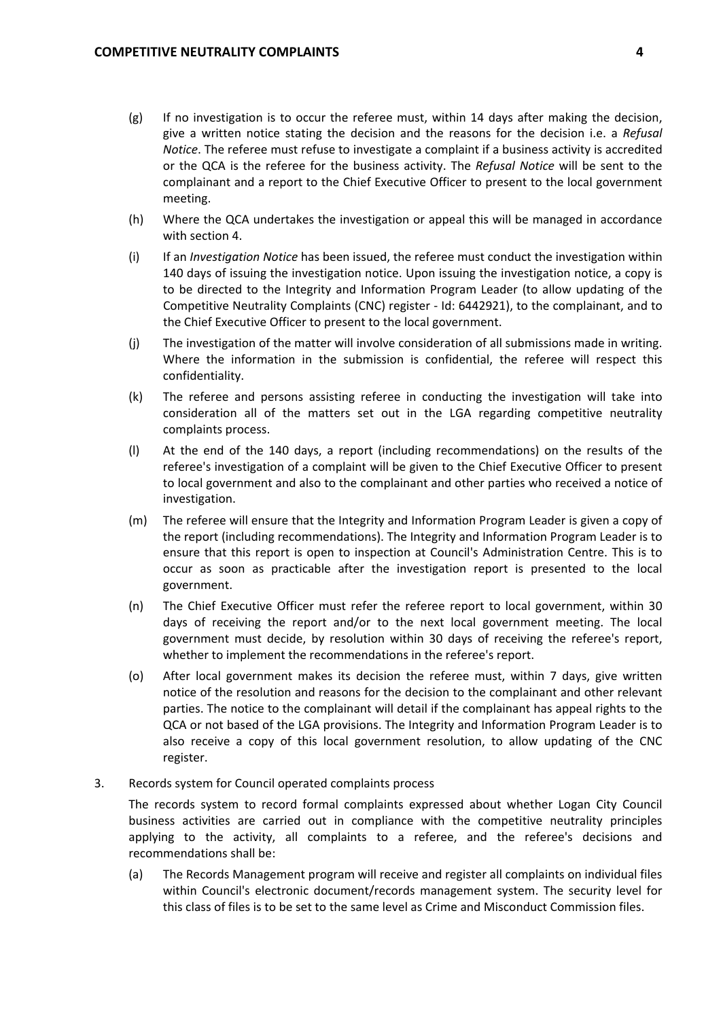- (g) If no investigation is to occur the referee must, within 14 days after making the decision, give a written notice stating the decision and the reasons for the decision i.e. a *Refusal Notice*. The referee must refuse to investigate a complaint if a business activity is accredited or the QCA is the referee for the business activity. The *Refusal Notice* will be sent to the complainant and a report to the Chief Executive Officer to present to the local government meeting.
- (h) Where the QCA undertakes the investigation or appeal this will be managed in accordance with section 4.
- (i) If an *Investigation Notice* has been issued, the referee must conduct the investigation within 140 days of issuing the investigation notice. Upon issuing the investigation notice, a copy is to be directed to the Integrity and Information Program Leader (to allow updating of the Competitive Neutrality Complaints (CNC) register ‐ Id: 6442921), to the complainant, and to the Chief Executive Officer to present to the local government.
- (j) The investigation of the matter will involve consideration of all submissions made in writing. Where the information in the submission is confidential, the referee will respect this confidentiality.
- (k) The referee and persons assisting referee in conducting the investigation will take into consideration all of the matters set out in the LGA regarding competitive neutrality complaints process.
- (l) At the end of the 140 days, a report (including recommendations) on the results of the referee's investigation of a complaint will be given to the Chief Executive Officer to present to local government and also to the complainant and other parties who received a notice of investigation.
- (m) The referee will ensure that the Integrity and Information Program Leader is given a copy of the report (including recommendations). The Integrity and Information Program Leader is to ensure that this report is open to inspection at Council's Administration Centre. This is to occur as soon as practicable after the investigation report is presented to the local government.
- (n) The Chief Executive Officer must refer the referee report to local government, within 30 days of receiving the report and/or to the next local government meeting. The local government must decide, by resolution within 30 days of receiving the referee's report, whether to implement the recommendations in the referee's report.
- (o) After local government makes its decision the referee must, within 7 days, give written notice of the resolution and reasons for the decision to the complainant and other relevant parties. The notice to the complainant will detail if the complainant has appeal rights to the QCA or not based of the LGA provisions. The Integrity and Information Program Leader is to also receive a copy of this local government resolution, to allow updating of the CNC register.
- 3. Records system for Council operated complaints process

 The records system to record formal complaints expressed about whether Logan City Council business activities are carried out in compliance with the competitive neutrality principles applying to the activity, all complaints to a referee, and the referee's decisions and recommendations shall be:

 (a) The Records Management program will receive and register all complaints on individual files within Council's electronic document/records management system. The security level for this class of files is to be set to the same level as Crime and Misconduct Commission files.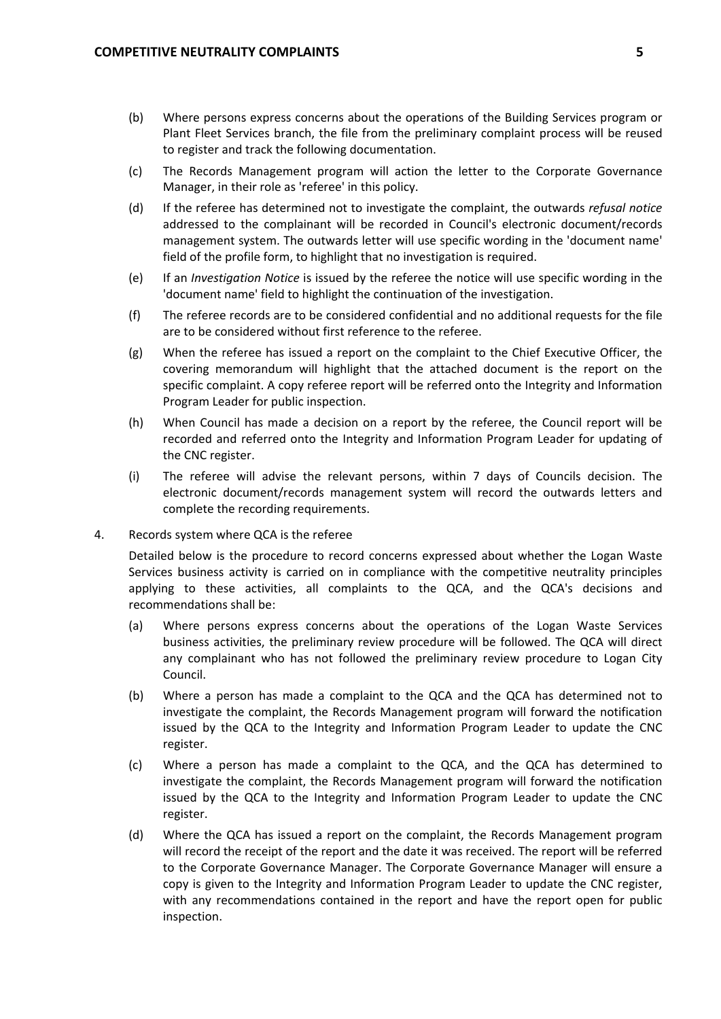- (b) Where persons express concerns about the operations of the Building Services program or Plant Fleet Services branch, the file from the preliminary complaint process will be reused to register and track the following documentation.
- (c) The Records Management program will action the letter to the Corporate Governance Manager, in their role as 'referee' in this policy.
- (d) If the referee has determined not to investigate the complaint, the outwards *refusal notice* addressed to the complainant will be recorded in Council's electronic document/records management system. The outwards letter will use specific wording in the 'document name' field of the profile form, to highlight that no investigation is required.
- (e) If an *Investigation Notice* is issued by the referee the notice will use specific wording in the 'document name' field to highlight the continuation of the investigation.
- (f) The referee records are to be considered confidential and no additional requests for the file are to be considered without first reference to the referee.
- (g) When the referee has issued a report on the complaint to the Chief Executive Officer, the covering memorandum will highlight that the attached document is the report on the specific complaint. A copy referee report will be referred onto the Integrity and Information Program Leader for public inspection.
- (h) When Council has made a decision on a report by the referee, the Council report will be recorded and referred onto the Integrity and Information Program Leader for updating of the CNC register.
- (i) The referee will advise the relevant persons, within 7 days of Councils decision. The electronic document/records management system will record the outwards letters and complete the recording requirements.
- 4. Records system where QCA is the referee

 Detailed below is the procedure to record concerns expressed about whether the Logan Waste Services business activity is carried on in compliance with the competitive neutrality principles applying to these activities, all complaints to the QCA, and the QCA's decisions and recommendations shall be:

- (a) Where persons express concerns about the operations of the Logan Waste Services business activities, the preliminary review procedure will be followed. The QCA will direct any complainant who has not followed the preliminary review procedure to Logan City Council.
- (b) Where a person has made a complaint to the QCA and the QCA has determined not to investigate the complaint, the Records Management program will forward the notification issued by the QCA to the Integrity and Information Program Leader to update the CNC register.
- (c) Where a person has made a complaint to the QCA, and the QCA has determined to investigate the complaint, the Records Management program will forward the notification issued by the QCA to the Integrity and Information Program Leader to update the CNC register.
- (d) Where the QCA has issued a report on the complaint, the Records Management program will record the receipt of the report and the date it was received. The report will be referred to the Corporate Governance Manager. The Corporate Governance Manager will ensure a copy is given to the Integrity and Information Program Leader to update the CNC register, with any recommendations contained in the report and have the report open for public inspection.